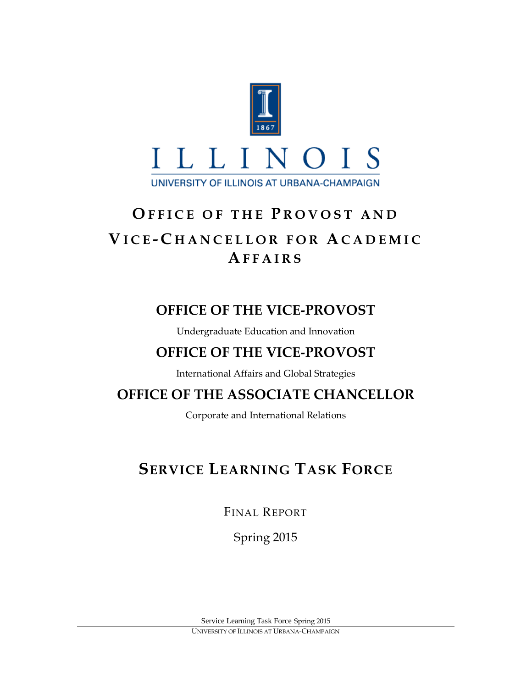

# **O FFICE OF THE P ROVOST AND V ICE - C HANCELLOR FOR A CADEMIC A FFAIRS**

# **OFFICE OF THE VICE-PROVOST**

Undergraduate Education and Innovation

# **OFFICE OF THE VICE-PROVOST**

International Affairs and Global Strategies

# **OFFICE OF THE ASSOCIATE CHANCELLOR**

Corporate and International Relations

# **SERVICE LEARNING TASK FORCE**

FINAL REPORT

Spring 2015

Service Learning Task Force Spring 2015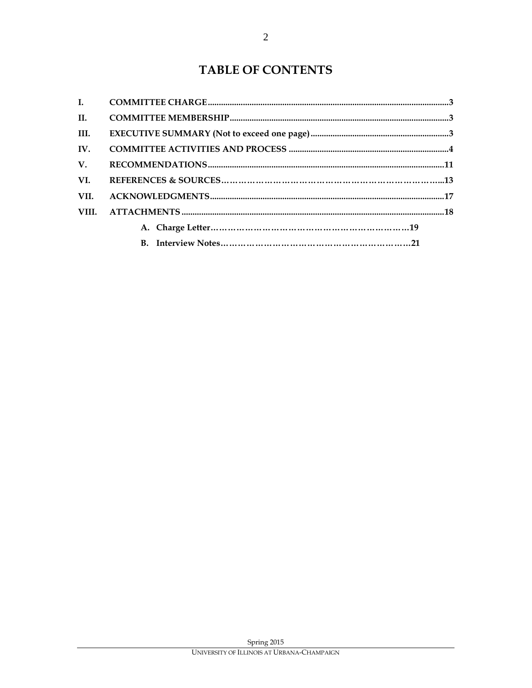| $\mathbf{L}$ |  |
|--------------|--|
| II.          |  |
| III.         |  |
| IV.          |  |
| $V_{\cdot}$  |  |
| VI.          |  |
| VII.         |  |
| VIII.        |  |
|              |  |
|              |  |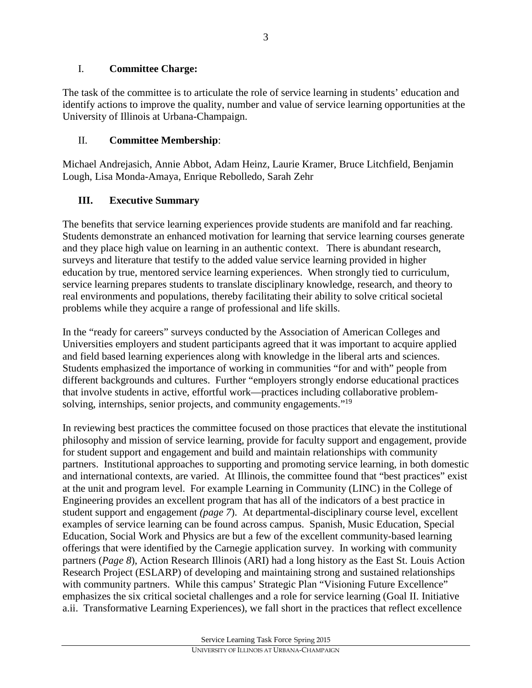# I. **Committee Charge:**

The task of the committee is to articulate the role of service learning in students' education and identify actions to improve the quality, number and value of service learning opportunities at the University of Illinois at Urbana-Champaign.

# II. **Committee Membership**:

Michael Andrejasich, Annie Abbot, Adam Heinz, Laurie Kramer, Bruce Litchfield, Benjamin Lough, Lisa Monda-Amaya, Enrique Rebolledo, Sarah Zehr

# **III. Executive Summary**

The benefits that service learning experiences provide students are manifold and far reaching. Students demonstrate an enhanced motivation for learning that service learning courses generate and they place high value on learning in an authentic context. There is abundant research, surveys and literature that testify to the added value service learning provided in higher education by true, mentored service learning experiences. When strongly tied to curriculum, service learning prepares students to translate disciplinary knowledge, research, and theory to real environments and populations, thereby facilitating their ability to solve critical societal problems while they acquire a range of professional and life skills.

In the "ready for careers" surveys conducted by the Association of American Colleges and Universities employers and student participants agreed that it was important to acquire applied and field based learning experiences along with knowledge in the liberal arts and sciences. Students emphasized the importance of working in communities "for and with" people from different backgrounds and cultures. Further "employers strongly endorse educational practices that involve students in active, effortful work—practices including collaborative problemsolving, internships, senior projects, and community engagements."<sup>19</sup>

In reviewing best practices the committee focused on those practices that elevate the institutional philosophy and mission of service learning, provide for faculty support and engagement, provide for student support and engagement and build and maintain relationships with community partners. Institutional approaches to supporting and promoting service learning, in both domestic and international contexts, are varied. At Illinois, the committee found that "best practices" exist at the unit and program level. For example Learning in Community (LINC) in the College of Engineering provides an excellent program that has all of the indicators of a best practice in student support and engagement *(page 7*). At departmental-disciplinary course level, excellent examples of service learning can be found across campus. Spanish, Music Education, Special Education, Social Work and Physics are but a few of the excellent community-based learning offerings that were identified by the Carnegie application survey. In working with community partners (*Page 8*), Action Research Illinois (ARI) had a long history as the East St. Louis Action Research Project (ESLARP) of developing and maintaining strong and sustained relationships with community partners. While this campus' Strategic Plan "Visioning Future Excellence" emphasizes the six critical societal challenges and a role for service learning (Goal II. Initiative a.ii. Transformative Learning Experiences), we fall short in the practices that reflect excellence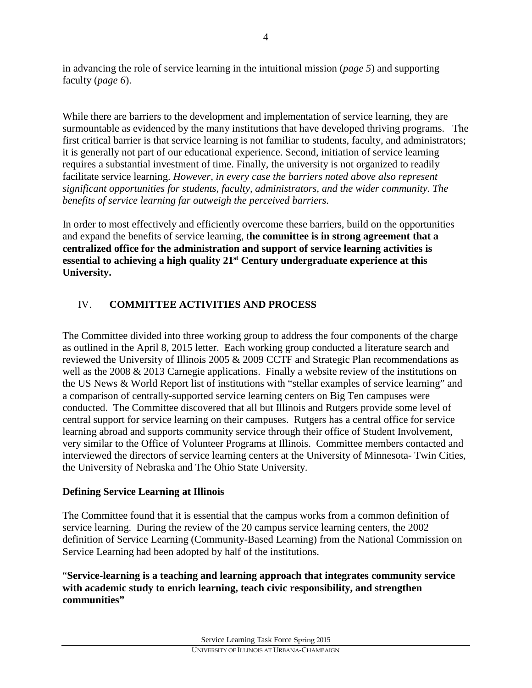in advancing the role of service learning in the intuitional mission (*page 5*) and supporting faculty (*page 6*).

While there are barriers to the development and implementation of service learning, they are surmountable as evidenced by the many institutions that have developed thriving programs. The first critical barrier is that service learning is not familiar to students, faculty, and administrators; it is generally not part of our educational experience. Second, initiation of service learning requires a substantial investment of time. Finally, the university is not organized to readily facilitate service learning. *However, in every case the barriers noted above also represent significant opportunities for students, faculty, administrators, and the wider community. The benefits of service learning far outweigh the perceived barriers.*

In order to most effectively and efficiently overcome these barriers, build on the opportunities and expand the benefits of service learning, t**he committee is in strong agreement that a centralized office for the administration and support of service learning activities is essential to achieving a high quality 21st Century undergraduate experience at this University.**

# IV. **COMMITTEE ACTIVITIES AND PROCESS**

The Committee divided into three working group to address the four components of the charge as outlined in the April 8, 2015 letter. Each working group conducted a literature search and reviewed the University of Illinois 2005 & 2009 CCTF and Strategic Plan recommendations as well as the 2008 & 2013 Carnegie applications. Finally a website review of the institutions on the US News & World Report list of institutions with "stellar examples of service learning" and a comparison of centrally-supported service learning centers on Big Ten campuses were conducted. The Committee discovered that all but Illinois and Rutgers provide some level of central support for service learning on their campuses. Rutgers has a central office for service learning abroad and supports community service through their office of Student Involvement, very similar to the Office of Volunteer Programs at Illinois. Committee members contacted and interviewed the directors of service learning centers at the University of Minnesota- Twin Cities, the University of Nebraska and The Ohio State University.

# **Defining Service Learning at Illinois**

The Committee found that it is essential that the campus works from a common definition of service learning. During the review of the 20 campus service learning centers, the 2002 definition of Service Learning (Community-Based Learning) from the National Commission on Service Learning had been adopted by half of the institutions.

"**Service-learning is a teaching and learning approach that integrates community service with academic study to enrich learning, teach civic responsibility, and strengthen communities"**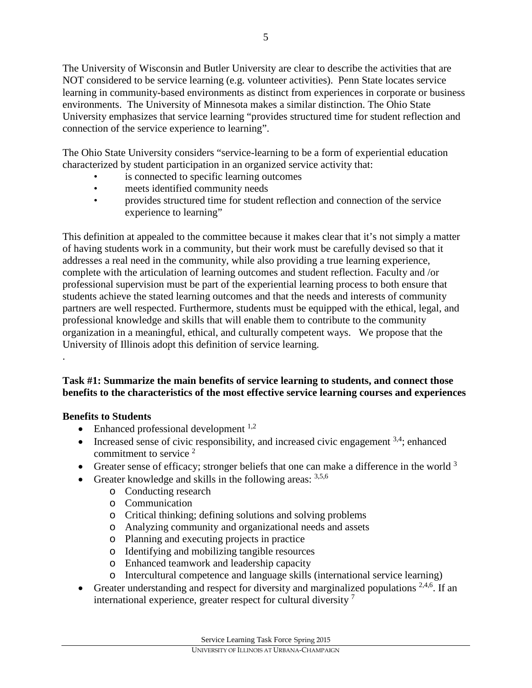The University of Wisconsin and Butler University are clear to describe the activities that are NOT considered to be service learning (e.g. volunteer activities). Penn State locates service learning in community-based environments as distinct from experiences in corporate or business environments. The University of Minnesota makes a similar distinction. The Ohio State University emphasizes that service learning "provides structured time for student reflection and connection of the service experience to learning".

The Ohio State University considers "service-learning to be a form of experiential education characterized by student participation in an organized service activity that:

- is connected to specific learning outcomes
- meets identified community needs
- provides structured time for student reflection and connection of the service experience to learning"

This definition at appealed to the committee because it makes clear that it's not simply a matter of having students work in a community, but their work must be carefully devised so that it addresses a real need in the community, while also providing a true learning experience, complete with the articulation of learning outcomes and student reflection. Faculty and /or professional supervision must be part of the experiential learning process to both ensure that students achieve the stated learning outcomes and that the needs and interests of community partners are well respected. Furthermore, students must be equipped with the ethical, legal, and professional knowledge and skills that will enable them to contribute to the community organization in a meaningful, ethical, and culturally competent ways. We propose that the University of Illinois adopt this definition of service learning.

# **Task #1: Summarize the main benefits of service learning to students, and connect those benefits to the characteristics of the most effective service learning courses and experiences**

# **Benefits to Students**

.

- Enhanced professional development  $1,2$
- Increased sense of civic responsibility, and increased civic engagement  $3,4$ ; enhanced commitment to service<sup>2</sup>
- Greater sense of efficacy; stronger beliefs that one can make a difference in the world  $3$
- Greater knowledge and skills in the following areas:  $3,5,6$ 
	- o Conducting research
	- o Communication
	- o Critical thinking; defining solutions and solving problems
	- o Analyzing community and organizational needs and assets
	- o Planning and executing projects in practice
	- o Identifying and mobilizing tangible resources
	- o Enhanced teamwork and leadership capacity
	- o Intercultural competence and language skills (international service learning)
- Greater understanding and respect for diversity and marginalized populations  $2,4,6$ . If an international experience, greater respect for cultural diversity  $<sup>7</sup>$ </sup>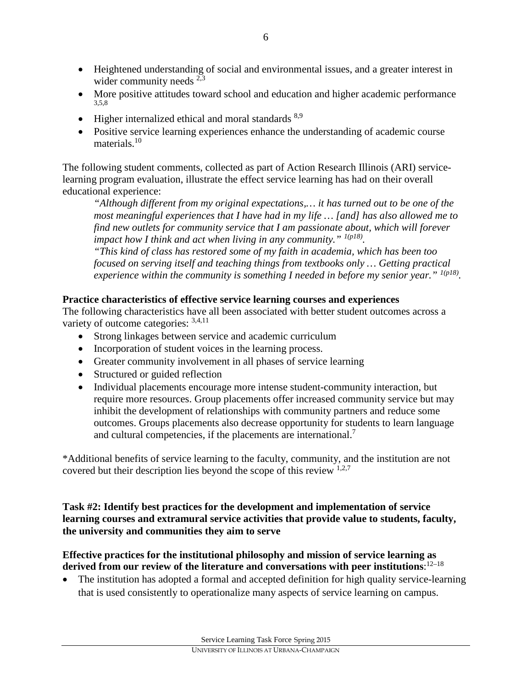- Heightened understanding of social and environmental issues, and a greater interest in wider community needs  $^{2,3}$
- More positive attitudes toward school and education and higher academic performance 3,5,8
- Higher internalized ethical and moral standards  $8,9$
- Positive service learning experiences enhance the understanding of academic course materials  $10$

The following student comments, collected as part of Action Research Illinois (ARI) servicelearning program evaluation, illustrate the effect service learning has had on their overall educational experience:

*"Although different from my original expectations,… it has turned out to be one of the most meaningful experiences that I have had in my life … [and] has also allowed me to find new outlets for community service that I am passionate about, which will forever impact how I think and act when living in any community." 1(p18).*

*"This kind of class has restored some of my faith in academia, which has been too focused on serving itself and teaching things from textbooks only … Getting practical experience within the community is something I needed in before my senior year.*" <sup>*1(p18)*.</sup>

### **Practice characteristics of effective service learning courses and experiences**

The following characteristics have all been associated with better student outcomes across a variety of outcome categories: 3,4,11

- Strong linkages between service and academic curriculum
- Incorporation of student voices in the learning process.
- Greater community involvement in all phases of service learning
- Structured or guided reflection
- Individual placements encourage more intense student-community interaction, but require more resources. Group placements offer increased community service but may inhibit the development of relationships with community partners and reduce some outcomes. Groups placements also decrease opportunity for students to learn language and cultural competencies, if the placements are international.<sup>7</sup>

\*Additional benefits of service learning to the faculty, community, and the institution are not covered but their description lies beyond the scope of this review 1,2,7

**Task #2: Identify best practices for the development and implementation of service learning courses and extramural service activities that provide value to students, faculty, the university and communities they aim to serve**

### **Effective practices for the institutional philosophy and mission of service learning as derived from our review of the literature and conversations with peer institutions**: 12–18

• The institution has adopted a formal and accepted definition for high quality service-learning that is used consistently to operationalize many aspects of service learning on campus.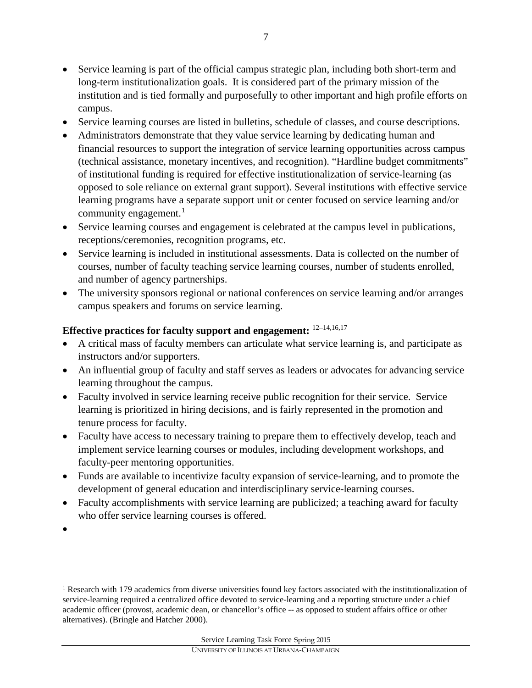- Service learning is part of the official campus strategic plan, including both short-term and long-term institutionalization goals. It is considered part of the primary mission of the institution and is tied formally and purposefully to other important and high profile efforts on campus.
- Service learning courses are listed in bulletins, schedule of classes, and course descriptions.
- Administrators demonstrate that they value service learning by dedicating human and financial resources to support the integration of service learning opportunities across campus (technical assistance, monetary incentives, and recognition). "Hardline budget commitments" of institutional funding is required for effective institutionalization of service-learning (as opposed to sole reliance on external grant support). Several institutions with effective service learning programs have a separate support unit or center focused on service learning and/or community engagement. $<sup>1</sup>$  $<sup>1</sup>$  $<sup>1</sup>$ </sup>
- Service learning courses and engagement is celebrated at the campus level in publications, receptions/ceremonies, recognition programs, etc.
- Service learning is included in institutional assessments. Data is collected on the number of courses, number of faculty teaching service learning courses, number of students enrolled, and number of agency partnerships.
- The university sponsors regional or national conferences on service learning and/or arranges campus speakers and forums on service learning.

# **Effective practices for faculty support and engagement:** 12–14,16,17

- A critical mass of faculty members can articulate what service learning is, and participate as instructors and/or supporters.
- An influential group of faculty and staff serves as leaders or advocates for advancing service learning throughout the campus.
- Faculty involved in service learning receive public recognition for their service. Service learning is prioritized in hiring decisions, and is fairly represented in the promotion and tenure process for faculty.
- Faculty have access to necessary training to prepare them to effectively develop, teach and implement service learning courses or modules, including development workshops, and faculty-peer mentoring opportunities.
- Funds are available to incentivize faculty expansion of service-learning, and to promote the development of general education and interdisciplinary service-learning courses.
- Faculty accomplishments with service learning are publicized; a teaching award for faculty who offer service learning courses is offered.
- •

 $\overline{\phantom{a}}$ 

<span id="page-6-0"></span><sup>&</sup>lt;sup>1</sup> Research with 179 academics from diverse universities found key factors associated with the institutionalization of service-learning required a centralized office devoted to service-learning and a reporting structure under a chief academic officer (provost, academic dean, or chancellor's office -- as opposed to student affairs office or other alternatives). (Bringle and Hatcher 2000).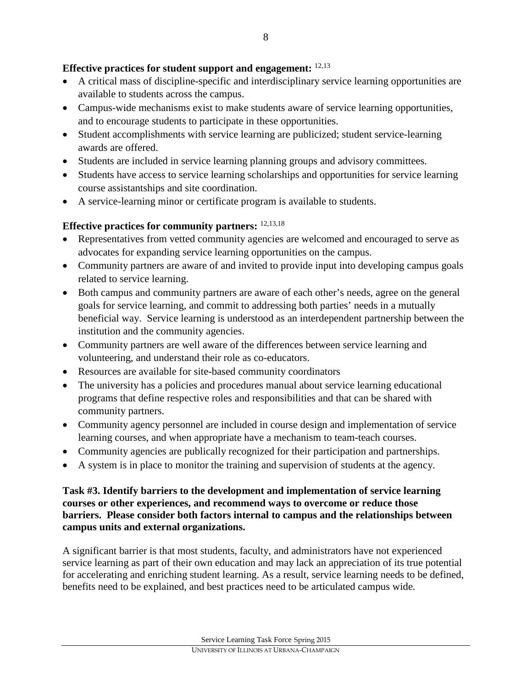### **Effective practices for student support and engagement:** 12,13

- A critical mass of discipline-specific and interdisciplinary service learning opportunities are available to students across the campus.
- Campus-wide mechanisms exist to make students aware of service learning opportunities, and to encourage students to participate in these opportunities.
- Student accomplishments with service learning are publicized; student service-learning awards are offered.
- Students are included in service learning planning groups and advisory committees.
- Students have access to service learning scholarships and opportunities for service learning course assistantships and site coordination.
- A service-learning minor or certificate program is available to students.

## **Effective practices for community partners:** 12,13,18

- Representatives from vetted community agencies are welcomed and encouraged to serve as advocates for expanding service learning opportunities on the campus.
- Community partners are aware of and invited to provide input into developing campus goals related to service learning.
- Both campus and community partners are aware of each other's needs, agree on the general goals for service learning, and commit to addressing both parties' needs in a mutually beneficial way. Service learning is understood as an interdependent partnership between the institution and the community agencies.
- Community partners are well aware of the differences between service learning and volunteering, and understand their role as co-educators.
- Resources are available for site-based community coordinators
- The university has a policies and procedures manual about service learning educational programs that define respective roles and responsibilities and that can be shared with community partners.
- Community agency personnel are included in course design and implementation of service learning courses, and when appropriate have a mechanism to team-teach courses.
- Community agencies are publically recognized for their participation and partnerships.
- A system is in place to monitor the training and supervision of students at the agency.

#### **Task #3. Identify barriers to the development and implementation of service learning courses or other experiences, and recommend ways to overcome or reduce those barriers. Please consider both factors internal to campus and the relationships between campus units and external organizations.**

A significant barrier is that most students, faculty, and administrators have not experienced service learning as part of their own education and may lack an appreciation of its true potential for accelerating and enriching student learning. As a result, service learning needs to be defined, benefits need to be explained, and best practices need to be articulated campus wide.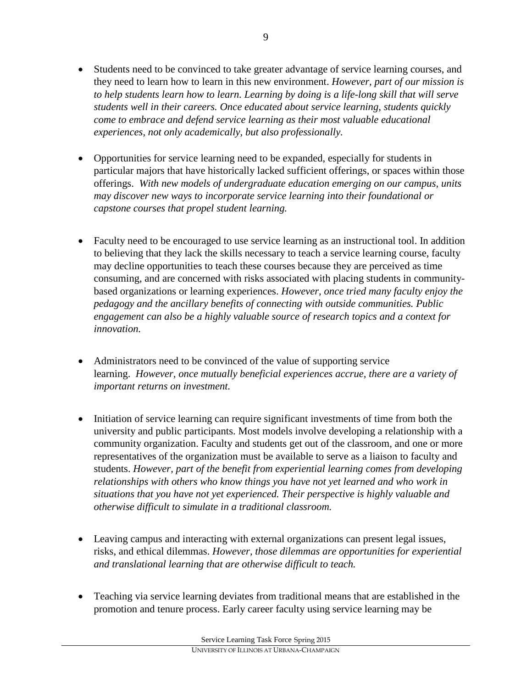- Students need to be convinced to take greater advantage of service learning courses, and they need to learn how to learn in this new environment. *However, part of our mission is to help students learn how to learn. Learning by doing is a life-long skill that will serve students well in their careers. Once educated about service learning, students quickly come to embrace and defend service learning as their most valuable educational experiences, not only academically, but also professionally.*
- Opportunities for service learning need to be expanded, especially for students in particular majors that have historically lacked sufficient offerings, or spaces within those offerings. *With new models of undergraduate education emerging on our campus, units may discover new ways to incorporate service learning into their foundational or capstone courses that propel student learning.*
- Faculty need to be encouraged to use service learning as an instructional tool. In addition to believing that they lack the skills necessary to teach a service learning course, faculty may decline opportunities to teach these courses because they are perceived as time consuming, and are concerned with risks associated with placing students in communitybased organizations or learning experiences. *However, once tried many faculty enjoy the pedagogy and the ancillary benefits of connecting with outside communities. Public engagement can also be a highly valuable source of research topics and a context for innovation.*
- Administrators need to be convinced of the value of supporting service learning. *However, once mutually beneficial experiences accrue, there are a variety of important returns on investment.*
- Initiation of service learning can require significant investments of time from both the university and public participants. Most models involve developing a relationship with a community organization. Faculty and students get out of the classroom, and one or more representatives of the organization must be available to serve as a liaison to faculty and students. *However, part of the benefit from experiential learning comes from developing relationships with others who know things you have not yet learned and who work in situations that you have not yet experienced. Their perspective is highly valuable and otherwise difficult to simulate in a traditional classroom.*
- Leaving campus and interacting with external organizations can present legal issues, risks, and ethical dilemmas. *However, those dilemmas are opportunities for experiential and translational learning that are otherwise difficult to teach.*
- Teaching via service learning deviates from traditional means that are established in the promotion and tenure process. Early career faculty using service learning may be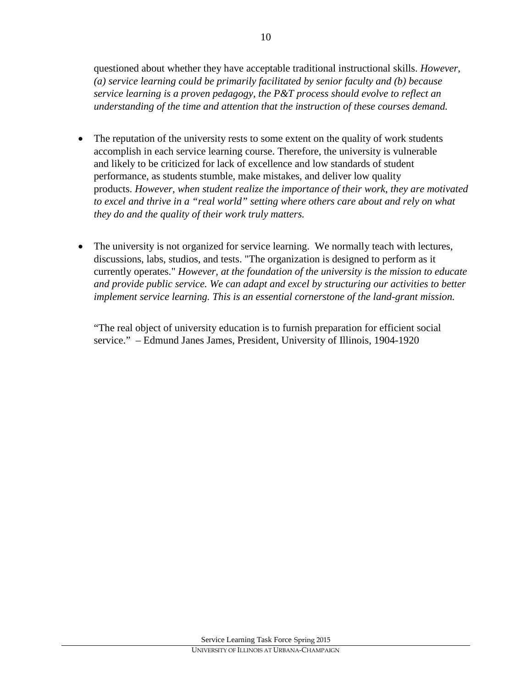questioned about whether they have acceptable traditional instructional skills. *However, (a) service learning could be primarily facilitated by senior faculty and (b) because service learning is a proven pedagogy, the P&T process should evolve to reflect an understanding of the time and attention that the instruction of these courses demand.* 

- The reputation of the university rests to some extent on the quality of work students accomplish in each service learning course. Therefore, the university is vulnerable and likely to be criticized for lack of excellence and low standards of student performance, as students stumble, make mistakes, and deliver low quality products. *However, when student realize the importance of their work, they are motivated to excel and thrive in a "real world" setting where others care about and rely on what they do and the quality of their work truly matters.*
- The university is not organized for service learning. We normally teach with lectures, discussions, labs, studios, and tests. "The organization is designed to perform as it currently operates." *However, at the foundation of the university is the mission to educate and provide public service. We can adapt and excel by structuring our activities to better implement service learning. This is an essential cornerstone of the land-grant mission.*

"The real object of university education is to furnish preparation for efficient social service." – Edmund Janes James, President, University of Illinois, 1904-1920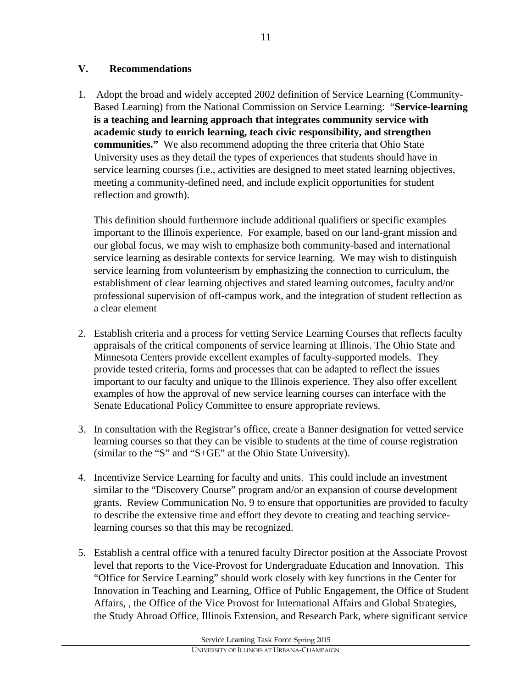## **V. Recommendations**

1. Adopt the broad and widely accepted 2002 definition of Service Learning (Community-Based Learning) from the National Commission on Service Learning: "**Service-learning is a teaching and learning approach that integrates community service with academic study to enrich learning, teach civic responsibility, and strengthen communities."** We also recommend adopting the three criteria that Ohio State University uses as they detail the types of experiences that students should have in service learning courses (i.e., activities are designed to meet stated learning objectives, meeting a community-defined need, and include explicit opportunities for student reflection and growth).

This definition should furthermore include additional qualifiers or specific examples important to the Illinois experience. For example, based on our land-grant mission and our global focus, we may wish to emphasize both community-based and international service learning as desirable contexts for service learning. We may wish to distinguish service learning from volunteerism by emphasizing the connection to curriculum, the establishment of clear learning objectives and stated learning outcomes, faculty and/or professional supervision of off-campus work, and the integration of student reflection as a clear element

- 2. Establish criteria and a process for vetting Service Learning Courses that reflects faculty appraisals of the critical components of service learning at Illinois. The Ohio State and Minnesota Centers provide excellent examples of faculty-supported models. They provide tested criteria, forms and processes that can be adapted to reflect the issues important to our faculty and unique to the Illinois experience. They also offer excellent examples of how the approval of new service learning courses can interface with the Senate Educational Policy Committee to ensure appropriate reviews.
- 3. In consultation with the Registrar's office, create a Banner designation for vetted service learning courses so that they can be visible to students at the time of course registration (similar to the "S" and "S+GE" at the Ohio State University).
- 4. Incentivize Service Learning for faculty and units. This could include an investment similar to the "Discovery Course" program and/or an expansion of course development grants. Review Communication No. 9 to ensure that opportunities are provided to faculty to describe the extensive time and effort they devote to creating and teaching servicelearning courses so that this may be recognized.
- 5. Establish a central office with a tenured faculty Director position at the Associate Provost level that reports to the Vice-Provost for Undergraduate Education and Innovation. This "Office for Service Learning" should work closely with key functions in the Center for Innovation in Teaching and Learning, Office of Public Engagement, the Office of Student Affairs, , the Office of the Vice Provost for International Affairs and Global Strategies, the Study Abroad Office, Illinois Extension, and Research Park, where significant service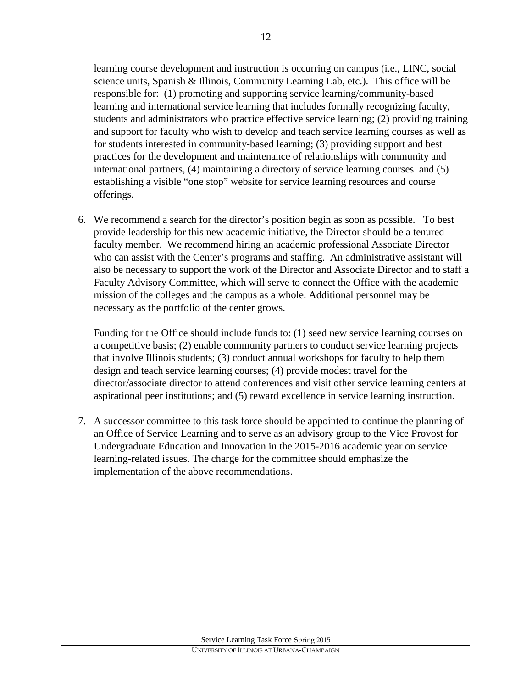learning course development and instruction is occurring on campus (i.e., LINC, social science units, Spanish & Illinois, Community Learning Lab, etc.). This office will be responsible for: (1) promoting and supporting service learning/community-based learning and international service learning that includes formally recognizing faculty, students and administrators who practice effective service learning; (2) providing training and support for faculty who wish to develop and teach service learning courses as well as for students interested in community-based learning; (3) providing support and best practices for the development and maintenance of relationships with community and international partners, (4) maintaining a directory of service learning courses and (5) establishing a visible "one stop" website for service learning resources and course offerings.

6. We recommend a search for the director's position begin as soon as possible. To best provide leadership for this new academic initiative, the Director should be a tenured faculty member. We recommend hiring an academic professional Associate Director who can assist with the Center's programs and staffing. An administrative assistant will also be necessary to support the work of the Director and Associate Director and to staff a Faculty Advisory Committee, which will serve to connect the Office with the academic mission of the colleges and the campus as a whole. Additional personnel may be necessary as the portfolio of the center grows.

Funding for the Office should include funds to: (1) seed new service learning courses on a competitive basis; (2) enable community partners to conduct service learning projects that involve Illinois students; (3) conduct annual workshops for faculty to help them design and teach service learning courses; (4) provide modest travel for the director/associate director to attend conferences and visit other service learning centers at aspirational peer institutions; and (5) reward excellence in service learning instruction.

7. A successor committee to this task force should be appointed to continue the planning of an Office of Service Learning and to serve as an advisory group to the Vice Provost for Undergraduate Education and Innovation in the 2015-2016 academic year on service learning-related issues. The charge for the committee should emphasize the implementation of the above recommendations.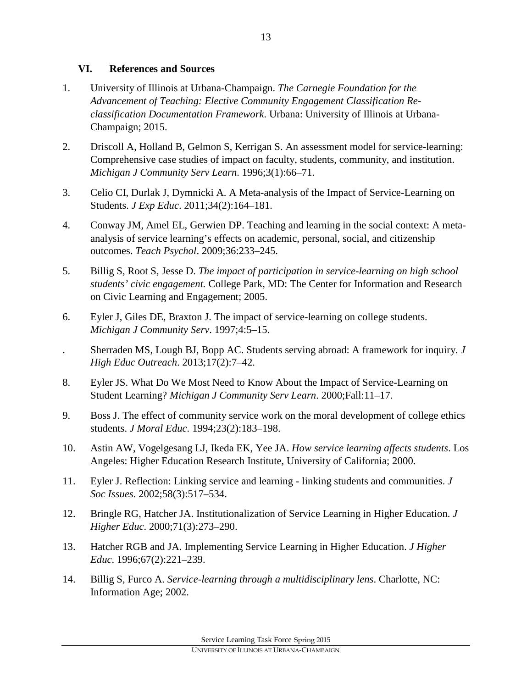### **VI. References and Sources**

- 1. University of Illinois at Urbana-Champaign. *The Carnegie Foundation for the Advancement of Teaching: Elective Community Engagement Classification Reclassification Documentation Framework*. Urbana: University of Illinois at Urbana-Champaign; 2015.
- 2. Driscoll A, Holland B, Gelmon S, Kerrigan S. An assessment model for service-learning: Comprehensive case studies of impact on faculty, students, community, and institution. *Michigan J Community Serv Learn*. 1996;3(1):66–71.
- 3. Celio CI, Durlak J, Dymnicki A. A Meta-analysis of the Impact of Service-Learning on Students. *J Exp Educ*. 2011;34(2):164–181.
- 4. Conway JM, Amel EL, Gerwien DP. Teaching and learning in the social context: A metaanalysis of service learning's effects on academic, personal, social, and citizenship outcomes. *Teach Psychol*. 2009;36:233–245.
- 5. Billig S, Root S, Jesse D. *The impact of participation in service-learning on high school students' civic engagement.* College Park, MD: The Center for Information and Research on Civic Learning and Engagement; 2005.
- 6. Eyler J, Giles DE, Braxton J. The impact of service-learning on college students. *Michigan J Community Serv*. 1997;4:5–15.
- . Sherraden MS, Lough BJ, Bopp AC. Students serving abroad: A framework for inquiry. *J High Educ Outreach*. 2013;17(2):7–42.
- 8. Eyler JS. What Do We Most Need to Know About the Impact of Service-Learning on Student Learning? *Michigan J Community Serv Learn*. 2000;Fall:11–17.
- 9. Boss J. The effect of community service work on the moral development of college ethics students. *J Moral Educ*. 1994;23(2):183–198.
- 10. Astin AW, Vogelgesang LJ, Ikeda EK, Yee JA. *How service learning affects students*. Los Angeles: Higher Education Research Institute, University of California; 2000.
- 11. Eyler J. Reflection: Linking service and learning linking students and communities. *J Soc Issues*. 2002;58(3):517–534.
- 12. Bringle RG, Hatcher JA. Institutionalization of Service Learning in Higher Education. *J Higher Educ*. 2000;71(3):273–290.
- 13. Hatcher RGB and JA. Implementing Service Learning in Higher Education. *J Higher Educ*. 1996;67(2):221–239.
- 14. Billig S, Furco A. *Service-learning through a multidisciplinary lens*. Charlotte, NC: Information Age; 2002.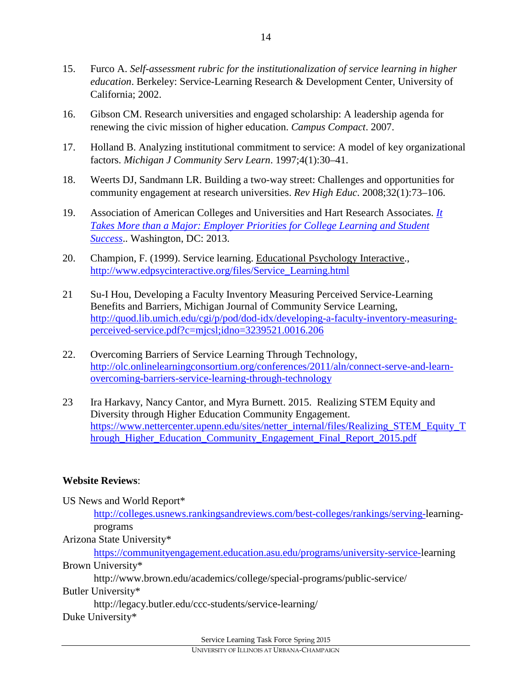- 15. Furco A. *Self-assessment rubric for the institutionalization of service learning in higher education*. Berkeley: Service-Learning Research & Development Center, University of California; 2002.
- 16. Gibson CM. Research universities and engaged scholarship: A leadership agenda for renewing the civic mission of higher education. *Campus Compact*. 2007.
- 17. Holland B. Analyzing institutional commitment to service: A model of key organizational factors. *Michigan J Community Serv Learn*. 1997;4(1):30–41.
- 18. Weerts DJ, Sandmann LR. Building a two-way street: Challenges and opportunities for community engagement at research universities. *Rev High Educ*. 2008;32(1):73–106.
- 19. Association of American Colleges and Universities and Hart Research Associates. *[It](https://www.aacu.org/sites/default/files/files/LEAP/2013_EmployerSurvey.pdf)  [Takes More than a Major: Employer Priorities for College Learning and Student](https://www.aacu.org/sites/default/files/files/LEAP/2013_EmployerSurvey.pdf)  [Success](https://www.aacu.org/sites/default/files/files/LEAP/2013_EmployerSurvey.pdf)*.. Washington, DC: 2013.
- 20. Champion, F. (1999). Service learning. Educational Psychology Interactive., [http://www.edpsycinteractive.org/files/Service\\_Learning.html](http://www.edpsycinteractive.org/files/Service_Learning.html)
- 21 Su-I Hou, Developing a Faculty Inventory Measuring Perceived Service-Learning Benefits and Barriers, Michigan Journal of Community Service Learning, [http://quod.lib.umich.edu/cgi/p/pod/dod-idx/developing-a-faculty-inventory-measuring](http://quod.lib.umich.edu/cgi/p/pod/dod-idx/developing-a-faculty-inventory-measuring-perceived-service.pdf?c=mjcsl;idno=3239521.0016.206)[perceived-service.pdf?c=mjcsl;idno=3239521.0016.206](http://quod.lib.umich.edu/cgi/p/pod/dod-idx/developing-a-faculty-inventory-measuring-perceived-service.pdf?c=mjcsl;idno=3239521.0016.206)
- 22. Overcoming Barriers of Service Learning Through Technology, [http://olc.onlinelearningconsortium.org/conferences/2011/aln/connect-serve-and-learn](http://olc.onlinelearningconsortium.org/conferences/2011/aln/connect-serve-and-learn-overcoming-barriers-service-learning-through-technology)[overcoming-barriers-service-learning-through-technology](http://olc.onlinelearningconsortium.org/conferences/2011/aln/connect-serve-and-learn-overcoming-barriers-service-learning-through-technology)
- 23 Ira Harkavy, Nancy Cantor, and Myra Burnett. 2015. Realizing STEM Equity and Diversity through Higher Education Community Engagement. [https://www.nettercenter.upenn.edu/sites/netter\\_internal/files/Realizing\\_STEM\\_Equity\\_T](https://www.nettercenter.upenn.edu/sites/netter_internal/files/Realizing_STEM_Equity_Through_Higher_Education_Community_Engagement_Final_Report_2015.pdf) [hrough\\_Higher\\_Education\\_Community\\_Engagement\\_Final\\_Report\\_2015.pdf](https://www.nettercenter.upenn.edu/sites/netter_internal/files/Realizing_STEM_Equity_Through_Higher_Education_Community_Engagement_Final_Report_2015.pdf)

### **Website Reviews**:

US News and World Report\* [http://colleges.usnews.rankingsandreviews.com/best-colleges/rankings/serving-l](http://colleges.usnews.rankingsandreviews.com/best-colleges/rankings/serving-)earningprograms Arizona State University\* [https://communityengagement.education.asu.edu/programs/university-service-l](https://communityengagement.education.asu.edu/programs/university-service-)earning Brown University\* http://www.brown.edu/academics/college/special-programs/public-service/ Butler University\* http://legacy.butler.edu/ccc-students/service-learning/

Duke University\*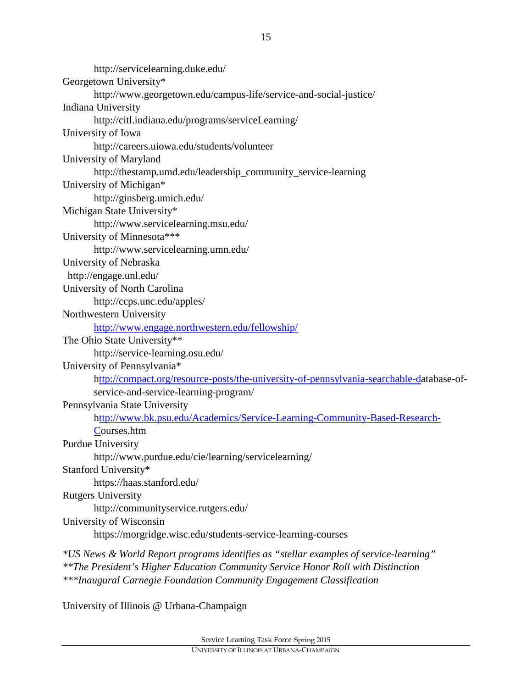http://servicelearning.duke.edu/ Georgetown University\* http://www.georgetown.edu/campus-life/service-and-social-justice/ Indiana University http://citl.indiana.edu/programs/serviceLearning/ University of Iowa http://careers.uiowa.edu/students/volunteer University of Maryland http://thestamp.umd.edu/leadership\_community\_service-learning University of Michigan\* http://ginsberg.umich.edu/ Michigan State University\* http://www.servicelearning.msu.edu/ University of Minnesota\*\*\* http://www.servicelearning.umn.edu/ University of Nebraska http://engage.unl.edu/ University of North Carolina http://ccps.unc.edu/apples/ Northwestern University <http://www.engage.northwestern.edu/fellowship/> The Ohio State University\*\* http://service-learning.osu.edu/ University of Pennsylvania\* [http://compact.org/resource-posts/the-university-of-pennsylvania-searchable-da](ttp://compact.org/resource-posts/the-university-of-pennsylvania-searchable-d)tabase-ofservice-and-service-learning-program/ Pennsylvania State University [http://www.bk.psu.edu/Academics/Service-Learning-Community-Based-Research-](ttp://www.bk.psu.edu/Academics/Service-Learning-Community-Based-Research-C)[Co](ttp://www.bk.psu.edu/Academics/Service-Learning-Community-Based-Research-C)urses.htm Purdue University http://www.purdue.edu/cie/learning/servicelearning/ Stanford University\* https://haas.stanford.edu/ Rutgers University http://communityservice.rutgers.edu/ University of Wisconsin https://morgridge.wisc.edu/students-service-learning-courses *\*US News & World Report programs identifies as "stellar examples of service-learning" \*\*The President's Higher Education Community Service Honor Roll with Distinction*

*\*\*\*Inaugural Carnegie Foundation Community Engagement Classification*

University of Illinois @ Urbana-Champaign

15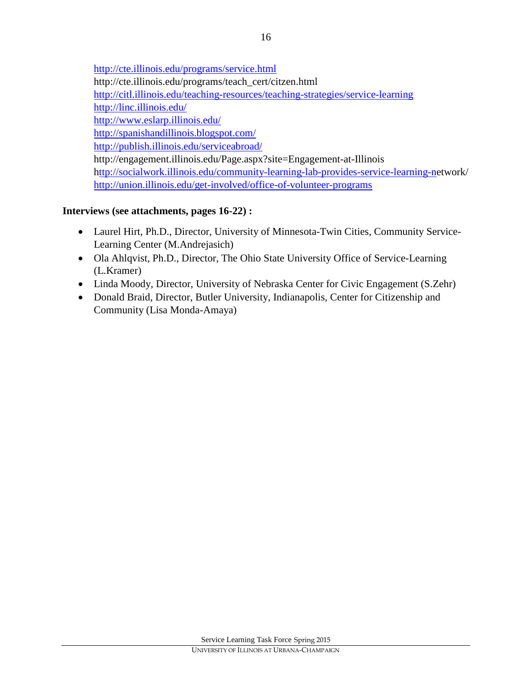<http://cte.illinois.edu/programs/service.html> http://cte.illinois.edu/programs/teach\_cert/citzen.html <http://citl.illinois.edu/teaching-resources/teaching-strategies/service-learning> <http://linc.illinois.edu/> <http://www.eslarp.illinois.edu/> <http://spanishandillinois.blogspot.com/> <http://publish.illinois.edu/serviceabroad/> http://engagement.illinois.edu/Page.aspx?site=Engagement-at-Illinois [http://socialwork.illinois.edu/community-learning-lab-provides-service-learning-ne](ttp://socialwork.illinois.edu/community-learning-lab-provides-service-learning-n)twork/ <http://union.illinois.edu/get-involved/office-of-volunteer-programs>

## **Interviews (see attachments, pages 16-22) :**

- Laurel Hirt, Ph.D., Director, University of Minnesota-Twin Cities, Community Service-Learning Center (M.Andrejasich)
- Ola Ahlqvist, Ph.D., Director, The Ohio State University Office of Service-Learning (L.Kramer)
- Linda Moody, Director, University of Nebraska Center for Civic Engagement (S.Zehr)
- Donald Braid, Director, Butler University, Indianapolis, Center for Citizenship and Community (Lisa Monda-Amaya)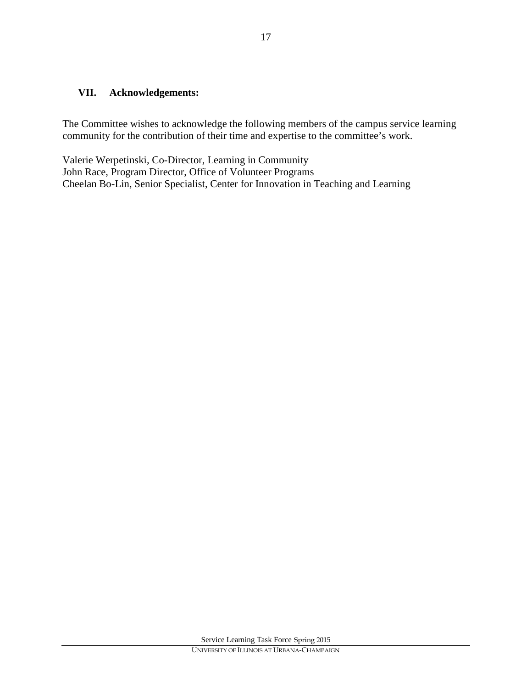### **VII. Acknowledgements:**

The Committee wishes to acknowledge the following members of the campus service learning community for the contribution of their time and expertise to the committee's work.

Valerie Werpetinski, Co-Director, Learning in Community John Race, Program Director, Office of Volunteer Programs Cheelan Bo-Lin, Senior Specialist, Center for Innovation in Teaching and Learning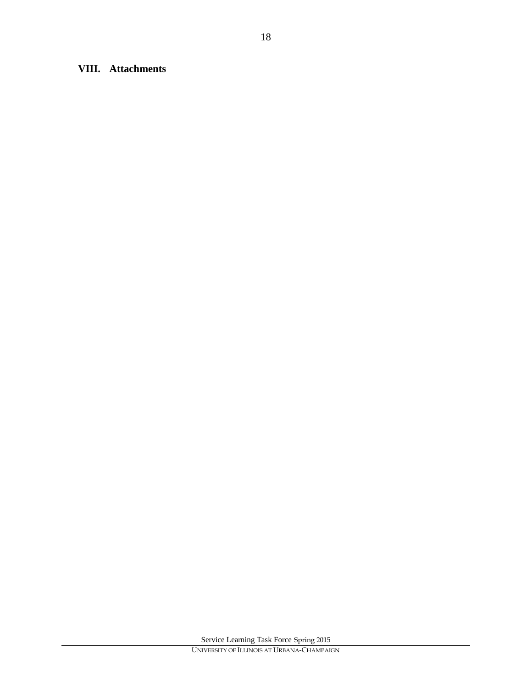# **VIII. Attachments**

18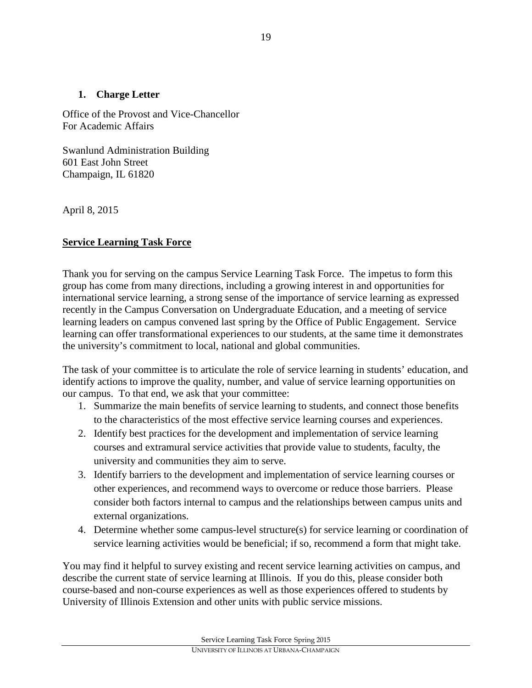### **1. Charge Letter**

Office of the Provost and Vice-Chancellor For Academic Affairs

Swanlund Administration Building 601 East John Street Champaign, IL 61820

April 8, 2015

# **Service Learning Task Force**

Thank you for serving on the campus Service Learning Task Force. The impetus to form this group has come from many directions, including a growing interest in and opportunities for international service learning, a strong sense of the importance of service learning as expressed recently in the Campus Conversation on Undergraduate Education, and a meeting of service learning leaders on campus convened last spring by the Office of Public Engagement. Service learning can offer transformational experiences to our students, at the same time it demonstrates the university's commitment to local, national and global communities.

The task of your committee is to articulate the role of service learning in students' education, and identify actions to improve the quality, number, and value of service learning opportunities on our campus. To that end, we ask that your committee:

- 1. Summarize the main benefits of service learning to students, and connect those benefits to the characteristics of the most effective service learning courses and experiences.
- 2. Identify best practices for the development and implementation of service learning courses and extramural service activities that provide value to students, faculty, the university and communities they aim to serve.
- 3. Identify barriers to the development and implementation of service learning courses or other experiences, and recommend ways to overcome or reduce those barriers. Please consider both factors internal to campus and the relationships between campus units and external organizations.
- 4. Determine whether some campus-level structure(s) for service learning or coordination of service learning activities would be beneficial; if so, recommend a form that might take.

You may find it helpful to survey existing and recent service learning activities on campus, and describe the current state of service learning at Illinois. If you do this, please consider both course-based and non-course experiences as well as those experiences offered to students by University of Illinois Extension and other units with public service missions.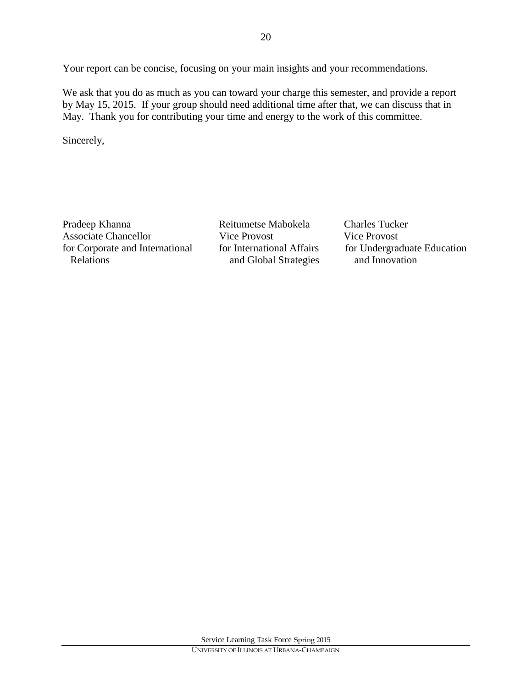Your report can be concise, focusing on your main insights and your recommendations.

We ask that you do as much as you can toward your charge this semester, and provide a report by May 15, 2015. If your group should need additional time after that, we can discuss that in May. Thank you for contributing your time and energy to the work of this committee.

Sincerely,

Pradeep Khanna **Reitumetse Mabokela** Charles Tucker Associate Chancellor Vice Provost Vice Provost for Corporate and International for International Affairs for Undergraduate Education Relations and Global Strategies and Innovation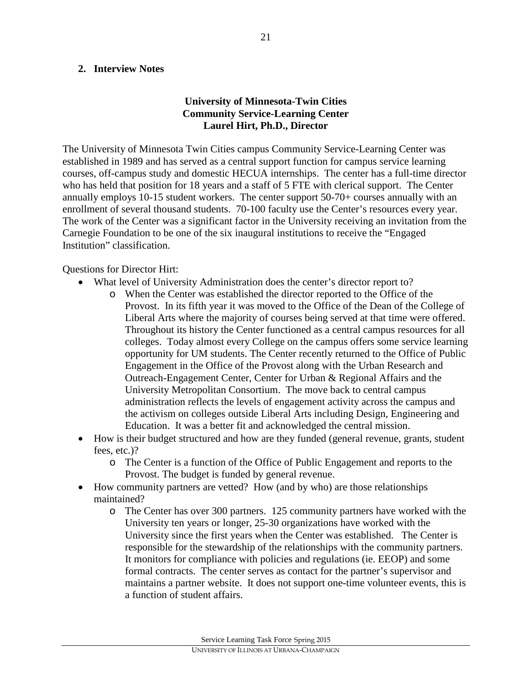#### **2. Interview Notes**

#### **University of Minnesota-Twin Cities Community Service-Learning Center Laurel Hirt, Ph.D., Director**

The University of Minnesota Twin Cities campus Community Service-Learning Center was established in 1989 and has served as a central support function for campus service learning courses, off-campus study and domestic HECUA internships. The center has a full-time director who has held that position for 18 years and a staff of 5 FTE with clerical support. The Center annually employs 10-15 student workers. The center support 50-70+ courses annually with an enrollment of several thousand students. 70-100 faculty use the Center's resources every year. The work of the Center was a significant factor in the University receiving an invitation from the Carnegie Foundation to be one of the six inaugural institutions to receive the "Engaged Institution" classification.

Questions for Director Hirt:

- What level of University Administration does the center's director report to?
	- o When the Center was established the director reported to the Office of the Provost. In its fifth year it was moved to the Office of the Dean of the College of Liberal Arts where the majority of courses being served at that time were offered. Throughout its history the Center functioned as a central campus resources for all colleges. Today almost every College on the campus offers some service learning opportunity for UM students. The Center recently returned to the Office of Public Engagement in the Office of the Provost along with the Urban Research and Outreach-Engagement Center, Center for Urban & Regional Affairs and the University Metropolitan Consortium. The move back to central campus administration reflects the levels of engagement activity across the campus and the activism on colleges outside Liberal Arts including Design, Engineering and Education. It was a better fit and acknowledged the central mission.
- How is their budget structured and how are they funded (general revenue, grants, student fees, etc.)?
	- o The Center is a function of the Office of Public Engagement and reports to the Provost. The budget is funded by general revenue.
- How community partners are vetted? How (and by who) are those relationships maintained?
	- o The Center has over 300 partners. 125 community partners have worked with the University ten years or longer, 25-30 organizations have worked with the University since the first years when the Center was established. The Center is responsible for the stewardship of the relationships with the community partners. It monitors for compliance with policies and regulations (ie. EEOP) and some formal contracts. The center serves as contact for the partner's supervisor and maintains a partner website. It does not support one-time volunteer events, this is a function of student affairs.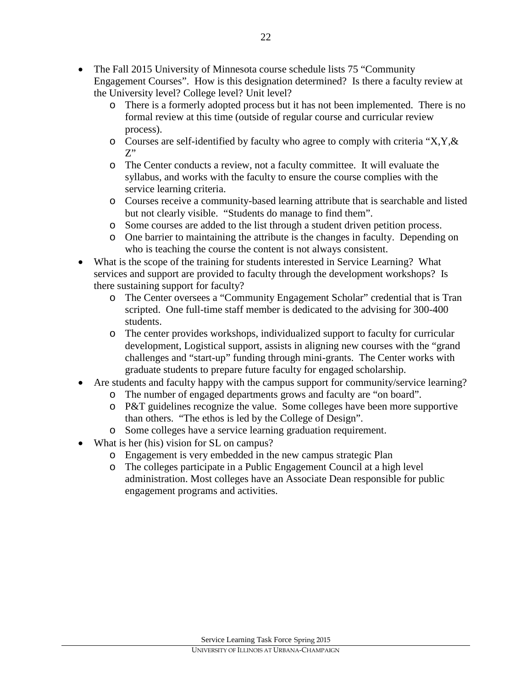- The Fall 2015 University of Minnesota course schedule lists 75 "Community Engagement Courses". How is this designation determined? Is there a faculty review at the University level? College level? Unit level?
	- o There is a formerly adopted process but it has not been implemented. There is no formal review at this time (outside of regular course and curricular review process).
	- $\circ$  Courses are self-identified by faculty who agree to comply with criteria "X,Y, & Z"
	- o The Center conducts a review, not a faculty committee. It will evaluate the syllabus, and works with the faculty to ensure the course complies with the service learning criteria.
	- o Courses receive a community-based learning attribute that is searchable and listed but not clearly visible. "Students do manage to find them".
	- o Some courses are added to the list through a student driven petition process.
	- o One barrier to maintaining the attribute is the changes in faculty. Depending on who is teaching the course the content is not always consistent.
- What is the scope of the training for students interested in Service Learning? What services and support are provided to faculty through the development workshops? Is there sustaining support for faculty?
	- o The Center oversees a "Community Engagement Scholar" credential that is Tran scripted. One full-time staff member is dedicated to the advising for 300-400 students.
	- o The center provides workshops, individualized support to faculty for curricular development, Logistical support, assists in aligning new courses with the "grand challenges and "start-up" funding through mini-grants. The Center works with graduate students to prepare future faculty for engaged scholarship.
- Are students and faculty happy with the campus support for community/service learning?
	- o The number of engaged departments grows and faculty are "on board".
	- o P&T guidelines recognize the value. Some colleges have been more supportive than others. "The ethos is led by the College of Design".
	- o Some colleges have a service learning graduation requirement.
- What is her (his) vision for SL on campus?
	- o Engagement is very embedded in the new campus strategic Plan
	- o The colleges participate in a Public Engagement Council at a high level administration. Most colleges have an Associate Dean responsible for public engagement programs and activities.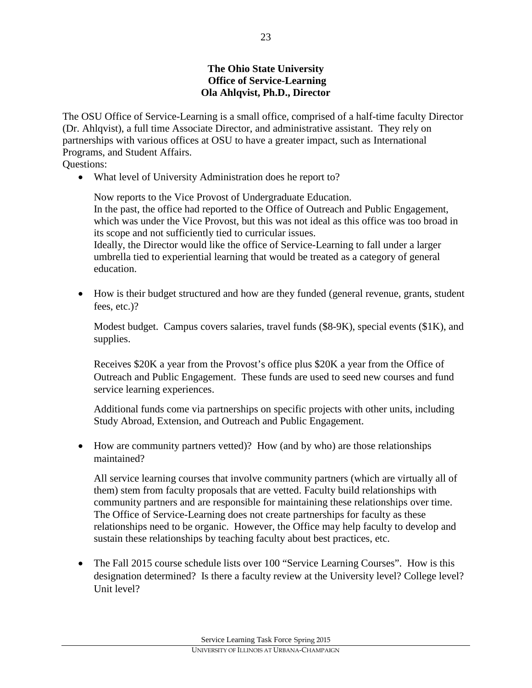#### **The Ohio State University Office of Service-Learning Ola Ahlqvist, Ph.D., Director**

The OSU Office of Service-Learning is a small office, comprised of a half-time faculty Director (Dr. Ahlqvist), a full time Associate Director, and administrative assistant. They rely on partnerships with various offices at OSU to have a greater impact, such as International Programs, and Student Affairs.

Questions:

• What level of University Administration does he report to?

Now reports to the Vice Provost of Undergraduate Education. In the past, the office had reported to the Office of Outreach and Public Engagement, which was under the Vice Provost, but this was not ideal as this office was too broad in its scope and not sufficiently tied to curricular issues. Ideally, the Director would like the office of Service-Learning to fall under a larger umbrella tied to experiential learning that would be treated as a category of general education.

• How is their budget structured and how are they funded (general revenue, grants, student fees, etc.)?

Modest budget. Campus covers salaries, travel funds (\$8-9K), special events (\$1K), and supplies.

Receives \$20K a year from the Provost's office plus \$20K a year from the Office of Outreach and Public Engagement. These funds are used to seed new courses and fund service learning experiences.

Additional funds come via partnerships on specific projects with other units, including Study Abroad, Extension, and Outreach and Public Engagement.

• How are community partners vetted)? How (and by who) are those relationships maintained?

All service learning courses that involve community partners (which are virtually all of them) stem from faculty proposals that are vetted. Faculty build relationships with community partners and are responsible for maintaining these relationships over time. The Office of Service-Learning does not create partnerships for faculty as these relationships need to be organic. However, the Office may help faculty to develop and sustain these relationships by teaching faculty about best practices, etc.

• The Fall 2015 course schedule lists over 100 "Service Learning Courses". How is this designation determined? Is there a faculty review at the University level? College level? Unit level?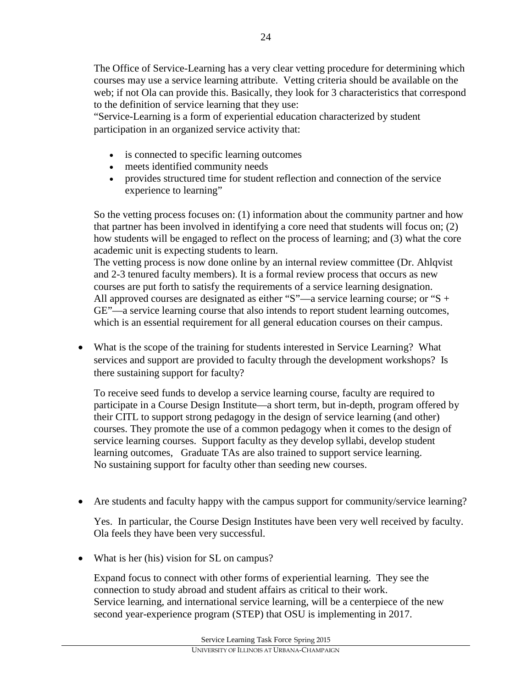The Office of Service-Learning has a very clear vetting procedure for determining which courses may use a service learning attribute. Vetting criteria should be available on the web; if not Ola can provide this. Basically, they look for 3 characteristics that correspond to the definition of service learning that they use:

"Service-Learning is a form of experiential education characterized by student participation in an organized service activity that:

- is connected to specific learning outcomes
- meets identified community needs
- provides structured time for student reflection and connection of the service experience to learning"

So the vetting process focuses on: (1) information about the community partner and how that partner has been involved in identifying a core need that students will focus on; (2) how students will be engaged to reflect on the process of learning; and (3) what the core academic unit is expecting students to learn.

The vetting process is now done online by an internal review committee (Dr. Ahlqvist and 2-3 tenured faculty members). It is a formal review process that occurs as new courses are put forth to satisfy the requirements of a service learning designation. All approved courses are designated as either "S"—a service learning course; or "S + GE"—a service learning course that also intends to report student learning outcomes, which is an essential requirement for all general education courses on their campus.

• What is the scope of the training for students interested in Service Learning? What services and support are provided to faculty through the development workshops? Is there sustaining support for faculty?

To receive seed funds to develop a service learning course, faculty are required to participate in a Course Design Institute—a short term, but in-depth, program offered by their CITL to support strong pedagogy in the design of service learning (and other) courses. They promote the use of a common pedagogy when it comes to the design of service learning courses. Support faculty as they develop syllabi, develop student learning outcomes, Graduate TAs are also trained to support service learning. No sustaining support for faculty other than seeding new courses.

Are students and faculty happy with the campus support for community/service learning?

Yes. In particular, the Course Design Institutes have been very well received by faculty. Ola feels they have been very successful.

• What is her (his) vision for SL on campus?

Expand focus to connect with other forms of experiential learning. They see the connection to study abroad and student affairs as critical to their work. Service learning, and international service learning, will be a centerpiece of the new second year-experience program (STEP) that OSU is implementing in 2017.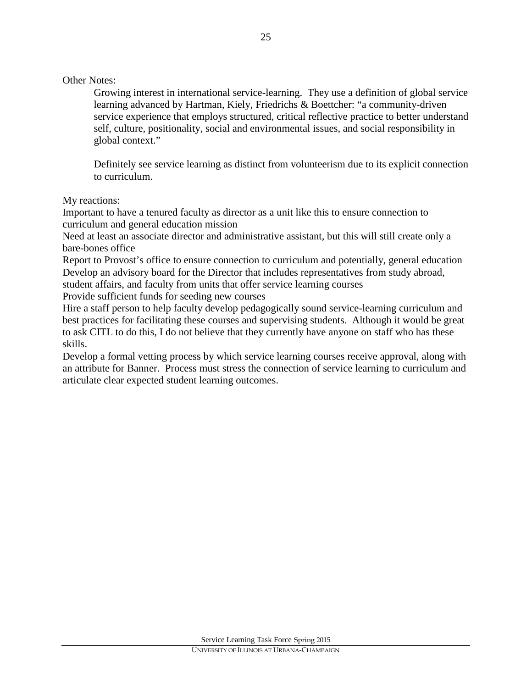Other Notes:

Growing interest in international service-learning. They use a definition of global service learning advanced by Hartman, Kiely, Friedrichs & Boettcher: "a community-driven service experience that employs structured, critical reflective practice to better understand self, culture, positionality, social and environmental issues, and social responsibility in global context."

Definitely see service learning as distinct from volunteerism due to its explicit connection to curriculum.

My reactions:

Important to have a tenured faculty as director as a unit like this to ensure connection to curriculum and general education mission

Need at least an associate director and administrative assistant, but this will still create only a bare-bones office

Report to Provost's office to ensure connection to curriculum and potentially, general education Develop an advisory board for the Director that includes representatives from study abroad, student affairs, and faculty from units that offer service learning courses

Provide sufficient funds for seeding new courses

Hire a staff person to help faculty develop pedagogically sound service-learning curriculum and best practices for facilitating these courses and supervising students. Although it would be great to ask CITL to do this, I do not believe that they currently have anyone on staff who has these skills.

Develop a formal vetting process by which service learning courses receive approval, along with an attribute for Banner. Process must stress the connection of service learning to curriculum and articulate clear expected student learning outcomes.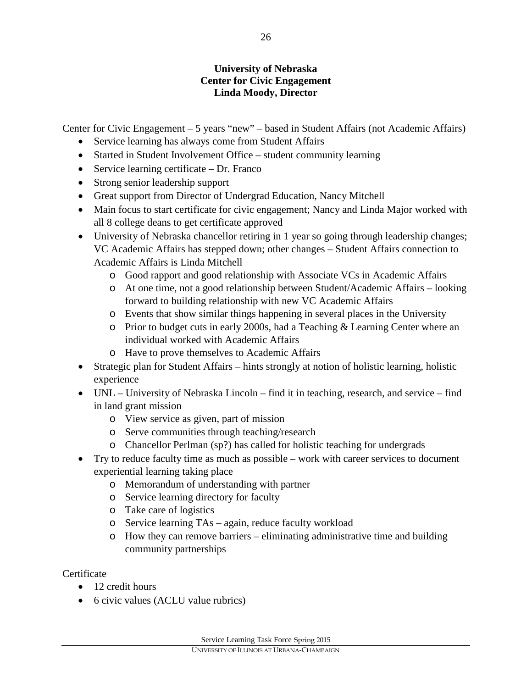### **University of Nebraska Center for Civic Engagement Linda Moody, Director**

Center for Civic Engagement – 5 years "new" – based in Student Affairs (not Academic Affairs)

- Service learning has always come from Student Affairs
- Started in Student Involvement Office student community learning
- Service learning certificate Dr. Franco
- Strong senior leadership support
- Great support from Director of Undergrad Education, Nancy Mitchell
- Main focus to start certificate for civic engagement; Nancy and Linda Major worked with all 8 college deans to get certificate approved
- University of Nebraska chancellor retiring in 1 year so going through leadership changes; VC Academic Affairs has stepped down; other changes – Student Affairs connection to Academic Affairs is Linda Mitchell
	- o Good rapport and good relationship with Associate VCs in Academic Affairs
	- o At one time, not a good relationship between Student/Academic Affairs looking forward to building relationship with new VC Academic Affairs
	- o Events that show similar things happening in several places in the University
	- o Prior to budget cuts in early 2000s, had a Teaching & Learning Center where an individual worked with Academic Affairs
	- o Have to prove themselves to Academic Affairs
- Strategic plan for Student Affairs hints strongly at notion of holistic learning, holistic experience
- UNL University of Nebraska Lincoln find it in teaching, research, and service find in land grant mission
	- o View service as given, part of mission
	- o Serve communities through teaching/research
	- o Chancellor Perlman (sp?) has called for holistic teaching for undergrads
- Try to reduce faculty time as much as possible work with career services to document experiential learning taking place
	- o Memorandum of understanding with partner
	- o Service learning directory for faculty
	- o Take care of logistics
	- o Service learning TAs again, reduce faculty workload
	- o How they can remove barriers eliminating administrative time and building community partnerships

**Certificate** 

- 12 credit hours
- 6 civic values (ACLU value rubrics)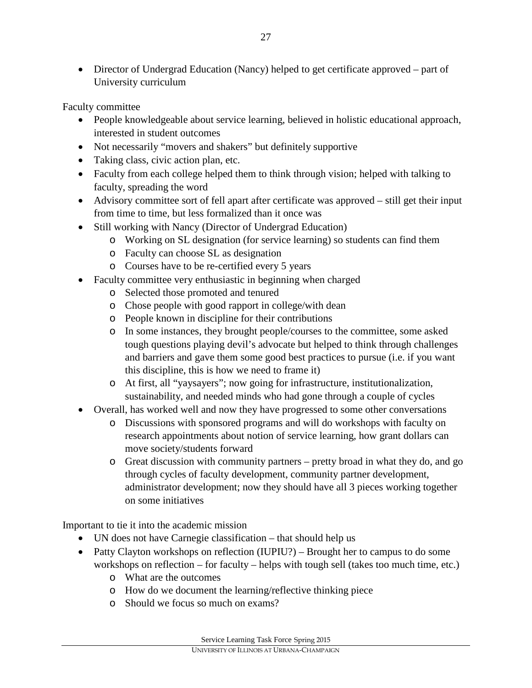• Director of Undergrad Education (Nancy) helped to get certificate approved – part of University curriculum

Faculty committee

- People knowledgeable about service learning, believed in holistic educational approach, interested in student outcomes
- Not necessarily "movers and shakers" but definitely supportive
- Taking class, civic action plan, etc.
- Faculty from each college helped them to think through vision; helped with talking to faculty, spreading the word
- Advisory committee sort of fell apart after certificate was approved still get their input from time to time, but less formalized than it once was
- Still working with Nancy (Director of Undergrad Education)
	- o Working on SL designation (for service learning) so students can find them
	- o Faculty can choose SL as designation
	- o Courses have to be re-certified every 5 years
- Faculty committee very enthusiastic in beginning when charged
	- o Selected those promoted and tenured
	- o Chose people with good rapport in college/with dean
	- o People known in discipline for their contributions
	- o In some instances, they brought people/courses to the committee, some asked tough questions playing devil's advocate but helped to think through challenges and barriers and gave them some good best practices to pursue (i.e. if you want this discipline, this is how we need to frame it)
	- o At first, all "yaysayers"; now going for infrastructure, institutionalization, sustainability, and needed minds who had gone through a couple of cycles
- Overall, has worked well and now they have progressed to some other conversations
	- o Discussions with sponsored programs and will do workshops with faculty on research appointments about notion of service learning, how grant dollars can move society/students forward
	- o Great discussion with community partners pretty broad in what they do, and go through cycles of faculty development, community partner development, administrator development; now they should have all 3 pieces working together on some initiatives

Important to tie it into the academic mission

- UN does not have Carnegie classification that should help us
- Patty Clayton workshops on reflection (IUPIU?) Brought her to campus to do some workshops on reflection – for faculty – helps with tough sell (takes too much time, etc.)
	- o What are the outcomes
	- o How do we document the learning/reflective thinking piece
	- o Should we focus so much on exams?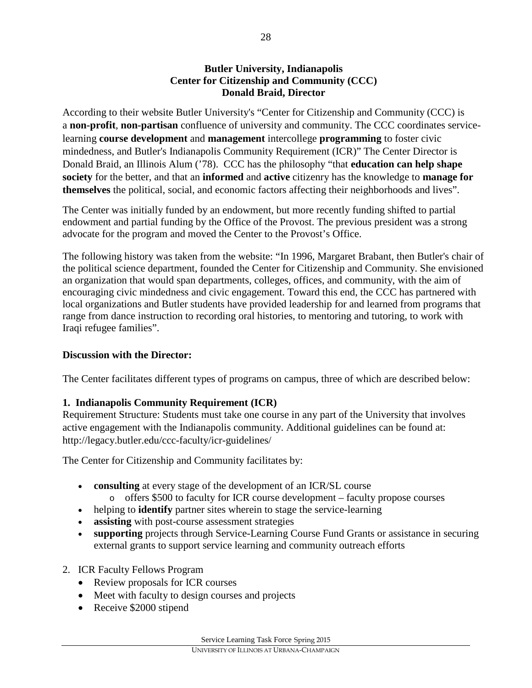#### **Butler University, Indianapolis Center for Citizenship and Community (CCC) Donald Braid, Director**

According to their website Butler University's "Center for Citizenship and Community (CCC) is a **non-profit**, **non-partisan** confluence of university and community. The CCC coordinates servicelearning **course development** and **management** intercollege **programming** to foster civic mindedness, and Butler's Indianapolis Community Requirement (ICR)" The Center Director is Donald Braid, an Illinois Alum ('78). CCC has the philosophy "that **education can help shape society** for the better, and that an **informed** and **active** citizenry has the knowledge to **manage for themselves** the political, social, and economic factors affecting their neighborhoods and lives".

The Center was initially funded by an endowment, but more recently funding shifted to partial endowment and partial funding by the Office of the Provost. The previous president was a strong advocate for the program and moved the Center to the Provost's Office.

The following history was taken from the website: "In 1996, Margaret Brabant, then Butler's chair of the political science department, founded the Center for Citizenship and Community. She envisioned an organization that would span departments, colleges, offices, and community, with the aim of encouraging civic mindedness and civic engagement. Toward this end, the CCC has partnered with local organizations and Butler students have provided leadership for and learned from programs that range from dance instruction to recording oral histories, to mentoring and tutoring, to work with Iraqi refugee families".

### **Discussion with the Director:**

The Center facilitates different types of programs on campus, three of which are described below:

### **1. Indianapolis Community Requirement (ICR)**

Requirement Structure: Students must take one course in any part of the University that involves active engagement with the Indianapolis community. Additional guidelines can be found at: http://legacy.butler.edu/ccc-faculty/icr-guidelines/

The Center for Citizenship and Community facilitates by:

- **consulting** at every stage of the development of an ICR/SL course
	- o offers \$500 to faculty for ICR course development faculty propose courses
- helping to **identify** partner sites wherein to stage the service-learning
- **assisting** with post-course assessment strategies
- **supporting** projects through Service-Learning Course Fund Grants or assistance in securing external grants to support service learning and community outreach efforts
- 2. ICR Faculty Fellows Program
	- Review proposals for ICR courses
	- Meet with faculty to design courses and projects
	- Receive \$2000 stipend